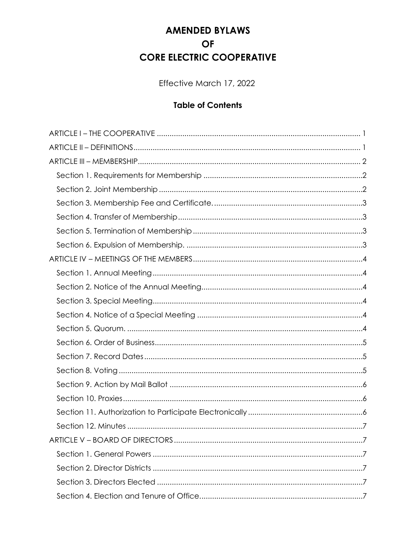# **AMENDED BYLAWS OF CORE ELECTRIC COOPERATIVE**

Effective March 17, 2022

# **Table of Contents**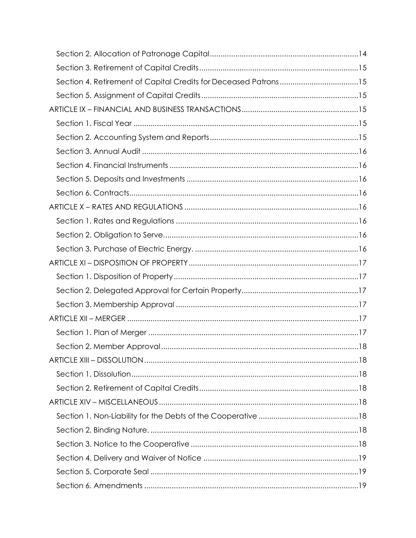| Section 4. Retirement of Capital Credits for Deceased Patrons15 |  |
|-----------------------------------------------------------------|--|
|                                                                 |  |
|                                                                 |  |
|                                                                 |  |
|                                                                 |  |
|                                                                 |  |
|                                                                 |  |
|                                                                 |  |
|                                                                 |  |
|                                                                 |  |
|                                                                 |  |
|                                                                 |  |
|                                                                 |  |
|                                                                 |  |
|                                                                 |  |
|                                                                 |  |
|                                                                 |  |
|                                                                 |  |
|                                                                 |  |
|                                                                 |  |
|                                                                 |  |
|                                                                 |  |
|                                                                 |  |
|                                                                 |  |
|                                                                 |  |
|                                                                 |  |
|                                                                 |  |
|                                                                 |  |
|                                                                 |  |
|                                                                 |  |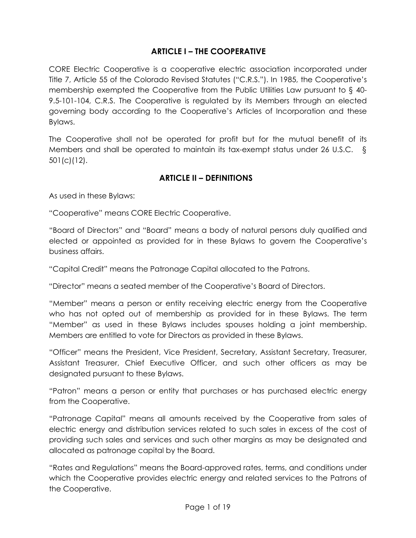#### **ARTICLE I – THE COOPERATIVE**

CORE Electric Cooperative is a cooperative electric association incorporated under Title 7, Article 55 of the Colorado Revised Statutes ("C.R.S."). In 1985, the Cooperative's membership exempted the Cooperative from the Public Utilities Law pursuant to § 40- 9.5-101-104, C.R.S. The Cooperative is regulated by its Members through an elected governing body according to the Cooperative's Articles of Incorporation and these Bylaws.

The Cooperative shall not be operated for profit but for the mutual benefit of its Members and shall be operated to maintain its tax-exempt status under 26 U.S.C. § 501(c)(12).

#### **ARTICLE II – DEFINITIONS**

As used in these Bylaws:

"Cooperative" means CORE Electric Cooperative.

"Board of Directors" and "Board" means a body of natural persons duly qualified and elected or appointed as provided for in these Bylaws to govern the Cooperative's business affairs.

"Capital Credit" means the Patronage Capital allocated to the Patrons.

"Director" means a seated member of the Cooperative's Board of Directors.

"Member" means a person or entity receiving electric energy from the Cooperative who has not opted out of membership as provided for in these Bylaws. The term "Member" as used in these Bylaws includes spouses holding a joint membership. Members are entitled to vote for Directors as provided in these Bylaws.

"Officer" means the President, Vice President, Secretary, Assistant Secretary, Treasurer, Assistant Treasurer, Chief Executive Officer, and such other officers as may be designated pursuant to these Bylaws.

"Patron" means a person or entity that purchases or has purchased electric energy from the Cooperative.

"Patronage Capital" means all amounts received by the Cooperative from sales of electric energy and distribution services related to such sales in excess of the cost of providing such sales and services and such other margins as may be designated and allocated as patronage capital by the Board.

"Rates and Regulations" means the Board-approved rates, terms, and conditions under which the Cooperative provides electric energy and related services to the Patrons of the Cooperative.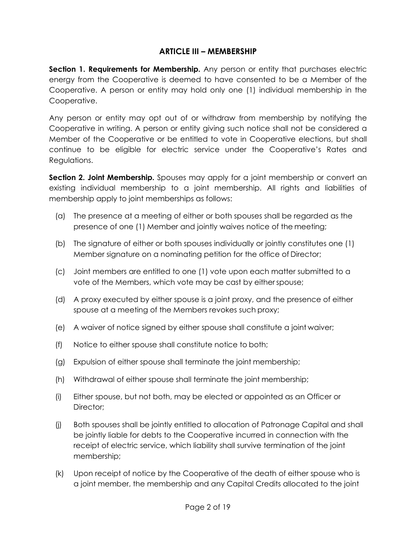#### **ARTICLE III – MEMBERSHIP**

**Section 1. Requirements for Membership.** Any person or entity that purchases electric energy from the Cooperative is deemed to have consented to be a Member of the Cooperative. A person or entity may hold only one (1) individual membership in the Cooperative.

Any person or entity may opt out of or withdraw from membership by notifying the Cooperative in writing. A person or entity giving such notice shall not be considered a Member of the Cooperative or be entitled to vote in Cooperative elections, but shall continue to be eligible for electric service under the Cooperative's Rates and Regulations.

**Section 2. Joint Membership.** Spouses may apply for a joint membership or convert an existing individual membership to a joint membership. All rights and liabilities of membership apply to joint memberships as follows:

- (a) The presence at a meeting of either or both spouses shall be regarded as the presence of one (1) Member and jointly waives notice of the meeting;
- (b) The signature of either or both spouses individually or jointly constitutes one (1) Member signature on a nominating petition for the office of Director;
- (c) Joint members are entitled to one (1) vote upon each matter submitted to a vote of the Members, which vote may be cast by eitherspouse;
- (d) A proxy executed by either spouse is a joint proxy, and the presence of either spouse at a meeting of the Members revokes such proxy;
- (e) A waiver of notice signed by either spouse shall constitute a joint waiver;
- (f) Notice to either spouse shall constitute notice to both;
- (g) Expulsion of either spouse shall terminate the joint membership;
- (h) Withdrawal of either spouse shall terminate the joint membership;
- (i) Either spouse, but not both, may be elected or appointed as an Officer or Director;
- (j) Both spouses shall be jointly entitled to allocation of Patronage Capital and shall be jointly liable for debts to the Cooperative incurred in connection with the receipt of electric service, which liability shall survive termination of the joint membership;
- (k) Upon receipt of notice by the Cooperative of the death of either spouse who is a joint member, the membership and any Capital Credits allocated to the joint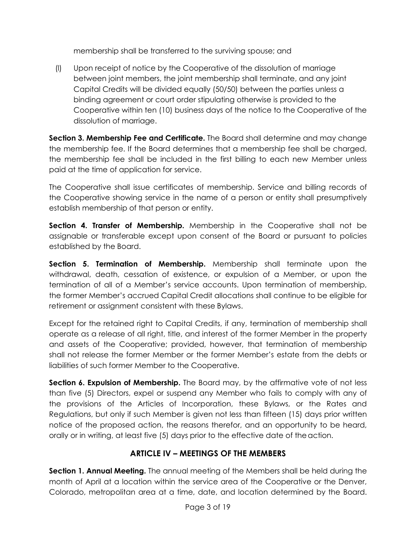membership shall be transferred to the surviving spouse; and

(l) Upon receipt of notice by the Cooperative of the dissolution of marriage between joint members, the joint membership shall terminate, and any joint Capital Credits will be divided equally (50/50) between the parties unless a binding agreement or court order stipulating otherwise is provided to the Cooperative within ten (10) business days of the notice to the Cooperative of the dissolution of marriage.

**Section 3. Membership Fee and Certificate.** The Board shall determine and may change the membership fee. If the Board determines that a membership fee shall be charged, the membership fee shall be included in the first billing to each new Member unless paid at the time of application for service.

The Cooperative shall issue certificates of membership. Service and billing records of the Cooperative showing service in the name of a person or entity shall presumptively establish membership of that person or entity.

**Section 4. Transfer of Membership.** Membership in the Cooperative shall not be assignable or transferable except upon consent of the Board or pursuant to policies established by the Board.

**Section 5. Termination of Membership.** Membership shall terminate upon the withdrawal, death, cessation of existence, or expulsion of a Member, or upon the termination of all of a Member's service accounts. Upon termination of membership, the former Member's accrued Capital Credit allocations shall continue to be eligible for retirement or assignment consistent with these Bylaws.

Except for the retained right to Capital Credits, if any, termination of membership shall operate as a release of all right, title, and interest of the former Member in the property and assets of the Cooperative; provided, however, that termination of membership shall not release the former Member or the former Member's estate from the debts or liabilities of such former Member to the Cooperative.

**Section 6. Expulsion of Membership.** The Board may, by the affirmative vote of not less than five (5) Directors, expel or suspend any Member who fails to comply with any of the provisions of the Articles of Incorporation, these Bylaws, or the Rates and Regulations, but only if such Member is given not less than fifteen (15) days prior written notice of the proposed action, the reasons therefor, and an opportunity to be heard, orally or in writing, at least five (5) days prior to the effective date of theaction.

## **ARTICLE IV – MEETINGS OF THE MEMBERS**

**Section 1. Annual Meeting.** The annual meeting of the Members shall be held during the month of April at a location within the service area of the Cooperative or the Denver, Colorado, metropolitan area at a time, date, and location determined by the Board.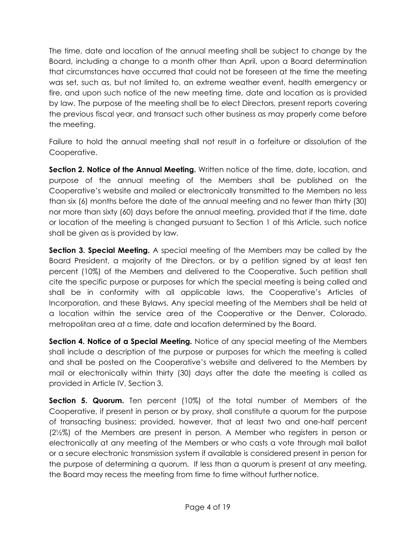The time, date and location of the annual meeting shall be subject to change by the Board, including a change to a month other than April, upon a Board determination that circumstances have occurred that could not be foreseen at the time the meeting was set, such as, but not limited to, an extreme weather event, health emergency or fire, and upon such notice of the new meeting time, date and location as is provided by law. The purpose of the meeting shall be to elect Directors, present reports covering the previous fiscal year, and transact such other business as may properly come before the meeting.

Failure to hold the annual meeting shall not result in a forfeiture or dissolution of the Cooperative.

**Section 2. Notice of the Annual Meeting.** Written notice of the time, date, location, and purpose of the annual meeting of the Members shall be published on the Cooperative's website and mailed or electronically transmitted to the Members no less than six (6) months before the date of the annual meeting and no fewer than thirty (30) nor more than sixty (60) days before the annual meeting, provided that if the time, date or location of the meeting is changed pursuant to Section 1 of this Article, such notice shall be given as is provided by law.

**Section 3. Special Meeting.** A special meeting of the Members may be called by the Board President, a majority of the Directors, or by a petition signed by at least ten percent (10%) of the Members and delivered to the Cooperative. Such petition shall cite the specific purpose or purposes for which the special meeting is being called and shall be in conformity with all applicable laws, the Cooperative's Articles of Incorporation, and these Bylaws. Any special meeting of the Members shall be held at a location within the service area of the Cooperative or the Denver, Colorado, metropolitan area at a time, date and location determined by the Board.

**Section 4. Notice of a Special Meeting.** Notice of any special meeting of the Members shall include a description of the purpose or purposes for which the meeting is called and shall be posted on the Cooperative's website and delivered to the Members by mail or electronically within thirty (30) days after the date the meeting is called as provided in Article IV, Section 3.

**Section 5. Quorum.** Ten percent (10%) of the total number of Members of the Cooperative, if present in person or by proxy, shall constitute a quorum for the purpose of transacting business; provided, however, that at least two and one-half percent (2½%) of the Members are present in person. A Member who registers in person or electronically at any meeting of the Members or who casts a vote through mail ballot or a secure electronic transmission system if available is considered present in person for the purpose of determining a quorum. If less than a quorum is present at any meeting, the Board may recess the meeting from time to time without further notice.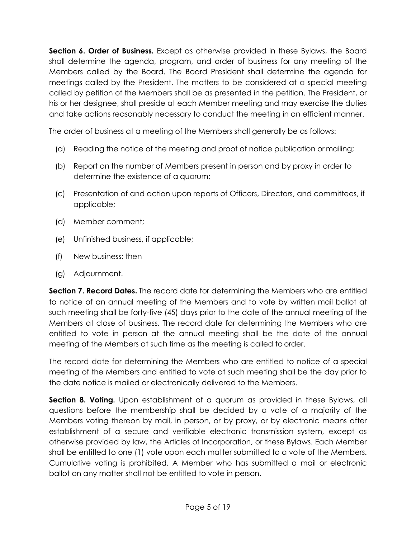**Section 6. Order of Business.** Except as otherwise provided in these Bylaws, the Board shall determine the agenda, program, and order of business for any meeting of the Members called by the Board. The Board President shall determine the agenda for meetings called by the President. The matters to be considered at a special meeting called by petition of the Members shall be as presented in the petition. The President, or his or her designee, shall preside at each Member meeting and may exercise the duties and take actions reasonably necessary to conduct the meeting in an efficient manner.

The order of business at a meeting of the Members shall generally be as follows:

- (a) Reading the notice of the meeting and proof of notice publication or mailing;
- (b) Report on the number of Members present in person and by proxy in order to determine the existence of a quorum;
- (c) Presentation of and action upon reports of Officers, Directors, and committees, if applicable;
- (d) Member comment;
- (e) Unfinished business, if applicable;
- (f) New business; then
- (g) Adjournment.

**Section 7. Record Dates.** The record date for determining the Members who are entitled to notice of an annual meeting of the Members and to vote by written mail ballot at such meeting shall be forty-five (45) days prior to the date of the annual meeting of the Members at close of business. The record date for determining the Members who are entitled to vote in person at the annual meeting shall be the date of the annual meeting of the Members at such time as the meeting is called to order.

The record date for determining the Members who are entitled to notice of a special meeting of the Members and entitled to vote at such meeting shall be the day prior to the date notice is mailed or electronically delivered to the Members.

**Section 8. Voting.** Upon establishment of a quorum as provided in these Bylaws, all questions before the membership shall be decided by a vote of a majority of the Members voting thereon by mail, in person, or by proxy, or by electronic means after establishment of a secure and verifiable electronic transmission system, except as otherwise provided by law, the Articles of Incorporation, or these Bylaws. Each Member shall be entitled to one (1) vote upon each matter submitted to a vote of the Members. Cumulative voting is prohibited. A Member who has submitted a mail or electronic ballot on any matter shall not be entitled to vote in person.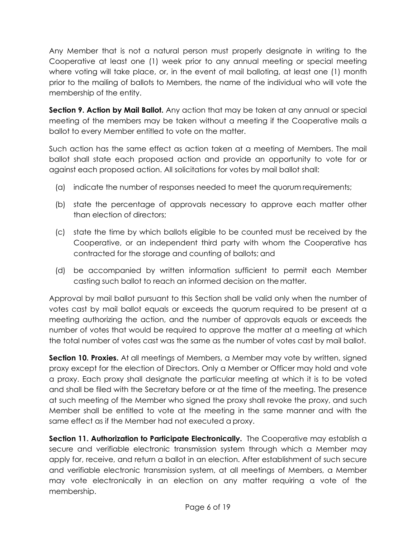Any Member that is not a natural person must properly designate in writing to the Cooperative at least one (1) week prior to any annual meeting or special meeting where voting will take place, or, in the event of mail balloting, at least one (1) month prior to the mailing of ballots to Members, the name of the individual who will vote the membership of the entity.

**Section 9. Action by Mail Ballot.** Any action that may be taken at any annual or special meeting of the members may be taken without a meeting if the Cooperative mails a ballot to every Member entitled to vote on the matter.

Such action has the same effect as action taken at a meeting of Members. The mail ballot shall state each proposed action and provide an opportunity to vote for or against each proposed action. All solicitations for votes by mail ballot shall:

- (a) indicate the number of responses needed to meet the quorum requirements;
- (b) state the percentage of approvals necessary to approve each matter other than election of directors;
- (c) state the time by which ballots eligible to be counted must be received by the Cooperative, or an independent third party with whom the Cooperative has contracted for the storage and counting of ballots; and
- (d) be accompanied by written information sufficient to permit each Member casting such ballot to reach an informed decision on the matter.

Approval by mail ballot pursuant to this Section shall be valid only when the number of votes cast by mail ballot equals or exceeds the quorum required to be present at a meeting authorizing the action, and the number of approvals equals or exceeds the number of votes that would be required to approve the matter at a meeting at which the total number of votes cast was the same as the number of votes cast by mail ballot.

**Section 10. Proxies.** At all meetings of Members, a Member may vote by written, signed proxy except for the election of Directors. Only a Member or Officer may hold and vote a proxy. Each proxy shall designate the particular meeting at which it is to be voted and shall be filed with the Secretary before or at the time of the meeting. The presence at such meeting of the Member who signed the proxy shall revoke the proxy, and such Member shall be entitled to vote at the meeting in the same manner and with the same effect as if the Member had not executed a proxy.

**Section 11. Authorization to Participate Electronically.** The Cooperative may establish a secure and verifiable electronic transmission system through which a Member may apply for, receive, and return a ballot in an election. After establishment of such secure and verifiable electronic transmission system, at all meetings of Members, a Member may vote electronically in an election on any matter requiring a vote of the membership.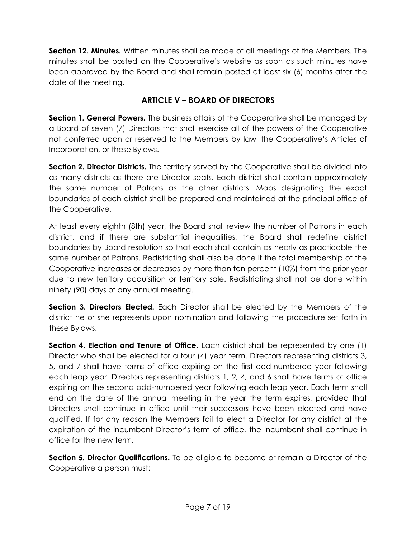**Section 12. Minutes.** Written minutes shall be made of all meetings of the Members. The minutes shall be posted on the Cooperative's website as soon as such minutes have been approved by the Board and shall remain posted at least six (6) months after the date of the meeting.

## **ARTICLE V – BOARD OF DIRECTORS**

**Section 1. General Powers.** The business affairs of the Cooperative shall be managed by a Board of seven (7) Directors that shall exercise all of the powers of the Cooperative not conferred upon or reserved to the Members by law, the Cooperative's Articles of Incorporation, or these Bylaws.

**Section 2. Director Districts.** The territory served by the Cooperative shall be divided into as many districts as there are Director seats. Each district shall contain approximately the same number of Patrons as the other districts. Maps designating the exact boundaries of each district shall be prepared and maintained at the principal office of the Cooperative.

At least every eighth (8th) year, the Board shall review the number of Patrons in each district, and if there are substantial inequalities, the Board shall redefine district boundaries by Board resolution so that each shall contain as nearly as practicable the same number of Patrons. Redistricting shall also be done if the total membership of the Cooperative increases or decreases by more than ten percent (10%) from the prior year due to new territory acquisition or territory sale. Redistricting shall not be done within ninety (90) days of any annual meeting.

**Section 3. Directors Elected.** Each Director shall be elected by the Members of the district he or she represents upon nomination and following the procedure set forth in these Bylaws.

**Section 4. Election and Tenure of Office.** Each district shall be represented by one (1) Director who shall be elected for a four (4) year term. Directors representing districts 3, 5, and 7 shall have terms of office expiring on the first odd-numbered year following each leap year. Directors representing districts 1, 2, 4, and 6 shall have terms of office expiring on the second odd-numbered year following each leap year. Each term shall end on the date of the annual meeting in the year the term expires, provided that Directors shall continue in office until their successors have been elected and have qualified. If for any reason the Members fail to elect a Director for any district at the expiration of the incumbent Director's term of office, the incumbent shall continue in office for the new term.

**Section 5. Director Qualifications.** To be eligible to become or remain a Director of the Cooperative a person must: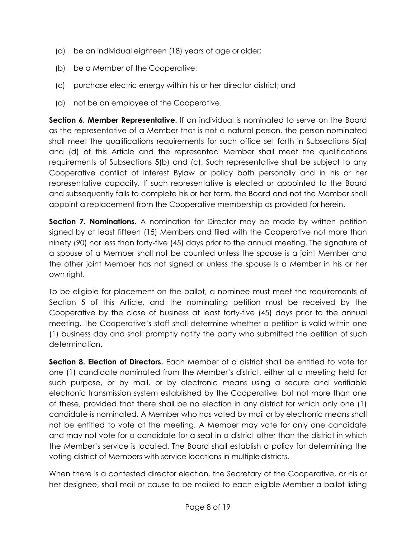- (a) be an individual eighteen (18) years of age or older;
- (b) be a Member of the Cooperative;
- (c) purchase electric energy within his or her director district; and
- (d) not be an employee of the Cooperative.

**Section 6. Member Representative.** If an individual is nominated to serve on the Board as the representative of a Member that is not a natural person, the person nominated shall meet the qualifications requirements for such office set forth in Subsections 5(a) and (d) of this Article and the represented Member shall meet the qualifications requirements of Subsections 5(b) and (c). Such representative shall be subject to any Cooperative conflict of interest Bylaw or policy both personally and in his or her representative capacity. If such representative is elected or appointed to the Board and subsequently fails to complete his or her term, the Board and not the Member shall appoint a replacement from the Cooperative membership as provided for herein.

**Section 7. Nominations.** A nomination for Director may be made by written petition signed by at least fifteen (15) Members and filed with the Cooperative not more than ninety (90) nor less than forty-five (45) days prior to the annual meeting. The signature of a spouse of a Member shall not be counted unless the spouse is a joint Member and the other joint Member has not signed or unless the spouse is a Member in his or her own right.

To be eligible for placement on the ballot, a nominee must meet the requirements of Section 5 of this Article, and the nominating petition must be received by the Cooperative by the close of business at least forty-five (45) days prior to the annual meeting. The Cooperative's staff shall determine whether a petition is valid within one (1) business day and shall promptly notify the party who submitted the petition of such determination.

**Section 8. Election of Directors.** Each Member of a district shall be entitled to vote for one (1) candidate nominated from the Member's district, either at a meeting held for such purpose, or by mail, or by electronic means using a secure and verifiable electronic transmission system established by the Cooperative, but not more than one of these, provided that there shall be no election in any district for which only one (1) candidate is nominated. A Member who has voted by mail or by electronic means shall not be entitled to vote at the meeting. A Member may vote for only one candidate and may not vote for a candidate for a seat in a district other than the district in which the Member's service is located. The Board shall establish a policy for determining the voting district of Members with service locations in multiple districts.

When there is a contested director election, the Secretary of the Cooperative, or his or her designee, shall mail or cause to be mailed to each eligible Member a ballot listing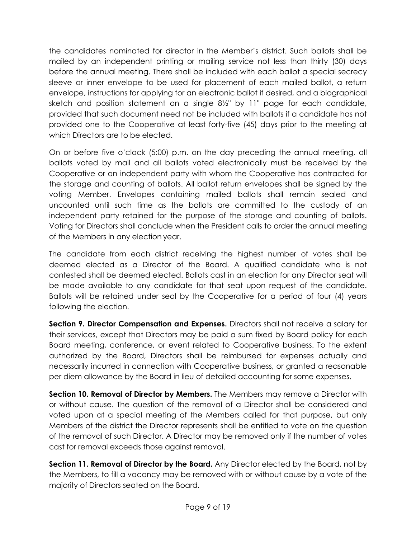the candidates nominated for director in the Member's district. Such ballots shall be mailed by an independent printing or mailing service not less than thirty (30) days before the annual meeting. There shall be included with each ballot a special secrecy sleeve or inner envelope to be used for placement of each mailed ballot, a return envelope, instructions for applying for an electronic ballot if desired, and a biographical sketch and position statement on a single 8½" by 11" page for each candidate, provided that such document need not be included with ballots if a candidate has not provided one to the Cooperative at least forty-five (45) days prior to the meeting at which Directors are to be elected.

On or before five o'clock (5:00) p.m. on the day preceding the annual meeting, all ballots voted by mail and all ballots voted electronically must be received by the Cooperative or an independent party with whom the Cooperative has contracted for the storage and counting of ballots. All ballot return envelopes shall be signed by the voting Member. Envelopes containing mailed ballots shall remain sealed and uncounted until such time as the ballots are committed to the custody of an independent party retained for the purpose of the storage and counting of ballots. Voting for Directors shall conclude when the President calls to order the annual meeting of the Members in any election year.

The candidate from each district receiving the highest number of votes shall be deemed elected as a Director of the Board. A qualified candidate who is not contested shall be deemed elected. Ballots cast in an election for any Director seat will be made available to any candidate for that seat upon request of the candidate. Ballots will be retained under seal by the Cooperative for a period of four (4) years following the election.

**Section 9. Director Compensation and Expenses.** Directors shall not receive a salary for their services, except that Directors may be paid a sum fixed by Board policy for each Board meeting, conference, or event related to Cooperative business. To the extent authorized by the Board, Directors shall be reimbursed for expenses actually and necessarily incurred in connection with Cooperative business, or granted a reasonable per diem allowance by the Board in lieu of detailed accounting for some expenses.

**Section 10. Removal of Director by Members.** The Members may remove a Director with or without cause. The question of the removal of a Director shall be considered and voted upon at a special meeting of the Members called for that purpose, but only Members of the district the Director represents shall be entitled to vote on the question of the removal of such Director. A Director may be removed only if the number of votes cast for removal exceeds those against removal.

**Section 11. Removal of Director by the Board.** Any Director elected by the Board, not by the Members, to fill a vacancy may be removed with or without cause by a vote of the majority of Directors seated on the Board.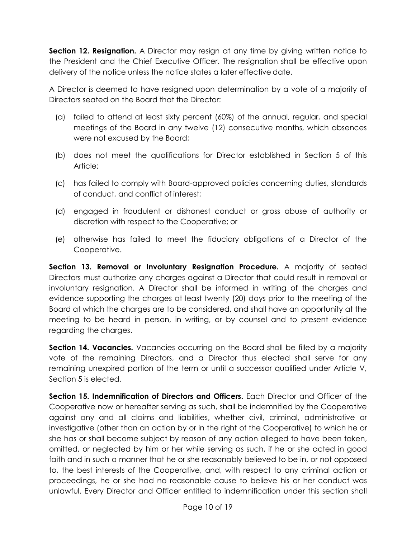**Section 12. Resignation.** A Director may resign at any time by giving written notice to the President and the Chief Executive Officer. The resignation shall be effective upon delivery of the notice unless the notice states a later effective date.

A Director is deemed to have resigned upon determination by a vote of a majority of Directors seated on the Board that the Director:

- (a) failed to attend at least sixty percent (60%) of the annual, regular, and special meetings of the Board in any twelve (12) consecutive months, which absences were not excused by the Board;
- (b) does not meet the qualifications for Director established in Section 5 of this Article;
- (c) has failed to comply with Board-approved policies concerning duties, standards of conduct, and conflict of interest;
- (d) engaged in fraudulent or dishonest conduct or gross abuse of authority or discretion with respect to the Cooperative; or
- (e) otherwise has failed to meet the fiduciary obligations of a Director of the Cooperative.

**Section 13. Removal or Involuntary Resignation Procedure.** A majority of seated Directors must authorize any charges against a Director that could result in removal or involuntary resignation. A Director shall be informed in writing of the charges and evidence supporting the charges at least twenty (20) days prior to the meeting of the Board at which the charges are to be considered, and shall have an opportunity at the meeting to be heard in person, in writing, or by counsel and to present evidence regarding the charges.

**Section 14. Vacancies.** Vacancies occurring on the Board shall be filled by a majority vote of the remaining Directors, and a Director thus elected shall serve for any remaining unexpired portion of the term or until a successor qualified under Article V, Section 5 is elected.

**Section 15. Indemnification of Directors and Officers.** Each Director and Officer of the Cooperative now or hereafter serving as such, shall be indemnified by the Cooperative against any and all claims and liabilities, whether civil, criminal, administrative or investigative (other than an action by or in the right of the Cooperative) to which he or she has or shall become subject by reason of any action alleged to have been taken, omitted, or neglected by him or her while serving as such, if he or she acted in good faith and in such a manner that he or she reasonably believed to be in, or not opposed to, the best interests of the Cooperative, and, with respect to any criminal action or proceedings, he or she had no reasonable cause to believe his or her conduct was unlawful. Every Director and Officer entitled to indemnification under this section shall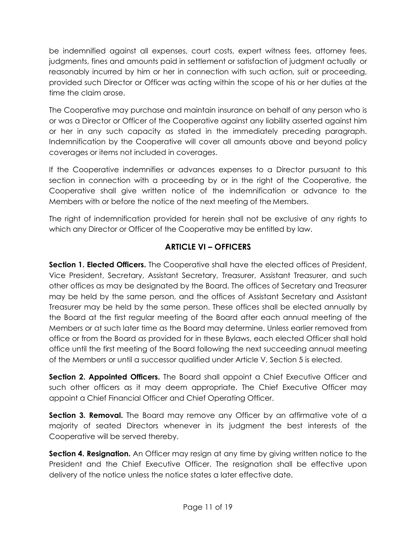be indemnified against all expenses, court costs, expert witness fees, attorney fees, judgments, fines and amounts paid in settlement or satisfaction of judgment actually or reasonably incurred by him or her in connection with such action, suit or proceeding, provided such Director or Officer was acting within the scope of his or her duties at the time the claim arose.

The Cooperative may purchase and maintain insurance on behalf of any person who is or was a Director or Officer of the Cooperative against any liability asserted against him or her in any such capacity as stated in the immediately preceding paragraph. Indemnification by the Cooperative will cover all amounts above and beyond policy coverages or items not included in coverages.

If the Cooperative indemnifies or advances expenses to a Director pursuant to this section in connection with a proceeding by or in the right of the Cooperative, the Cooperative shall give written notice of the indemnification or advance to the Members with or before the notice of the next meeting of the Members.

The right of indemnification provided for herein shall not be exclusive of any rights to which any Director or Officer of the Cooperative may be entitled by law.

## **ARTICLE VI – OFFICERS**

**Section 1. Elected Officers.** The Cooperative shall have the elected offices of President, Vice President, Secretary, Assistant Secretary, Treasurer, Assistant Treasurer, and such other offices as may be designated by the Board. The offices of Secretary and Treasurer may be held by the same person, and the offices of Assistant Secretary and Assistant Treasurer may be held by the same person. These offices shall be elected annually by the Board at the first regular meeting of the Board after each annual meeting of the Members or at such later time as the Board may determine. Unless earlier removed from office or from the Board as provided for in these Bylaws, each elected Officer shall hold office until the first meeting of the Board following the next succeeding annual meeting of the Members or until a successor qualified under Article V, Section 5 is elected.

**Section 2. Appointed Officers.** The Board shall appoint a Chief Executive Officer and such other officers as it may deem appropriate. The Chief Executive Officer may appoint a Chief Financial Officer and Chief Operating Officer.

**Section 3. Removal.** The Board may remove any Officer by an affirmative vote of a majority of seated Directors whenever in its judgment the best interests of the Cooperative will be served thereby.

**Section 4. Resignation.** An Officer may resign at any time by giving written notice to the President and the Chief Executive Officer. The resignation shall be effective upon delivery of the notice unless the notice states a later effective date.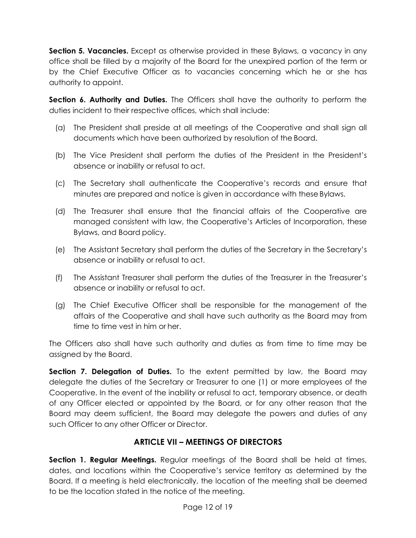**Section 5. Vacancies.** Except as otherwise provided in these Bylaws, a vacancy in any office shall be filled by a majority of the Board for the unexpired portion of the term or by the Chief Executive Officer as to vacancies concerning which he or she has authority to appoint.

**Section 6. Authority and Duties.** The Officers shall have the authority to perform the duties incident to their respective offices, which shall include:

- (a) The President shall preside at all meetings of the Cooperative and shall sign all documents which have been authorized by resolution of the Board.
- (b) The Vice President shall perform the duties of the President in the President's absence or inability or refusal to act.
- (c) The Secretary shall authenticate the Cooperative's records and ensure that minutes are prepared and notice is given in accordance with these Bylaws.
- (d) The Treasurer shall ensure that the financial affairs of the Cooperative are managed consistent with law, the Cooperative's Articles of Incorporation, these Bylaws, and Board policy.
- (e) The Assistant Secretary shall perform the duties of the Secretary in the Secretary's absence or inability or refusal to act.
- (f) The Assistant Treasurer shall perform the duties of the Treasurer in the Treasurer's absence or inability or refusal to act.
- (g) The Chief Executive Officer shall be responsible for the management of the affairs of the Cooperative and shall have such authority as the Board may from time to time vest in him or her.

The Officers also shall have such authority and duties as from time to time may be assigned by the Board.

**Section 7. Delegation of Duties.** To the extent permitted by law, the Board may delegate the duties of the Secretary or Treasurer to one (1) or more employees of the Cooperative. In the event of the inability or refusal to act, temporary absence, or death of any Officer elected or appointed by the Board, or for any other reason that the Board may deem sufficient, the Board may delegate the powers and duties of any such Officer to any other Officer or Director.

## **ARTICLE VII – MEETINGS OF DIRECTORS**

**Section 1. Regular Meetings.** Regular meetings of the Board shall be held at times, dates, and locations within the Cooperative's service territory as determined by the Board. If a meeting is held electronically, the location of the meeting shall be deemed to be the location stated in the notice of the meeting.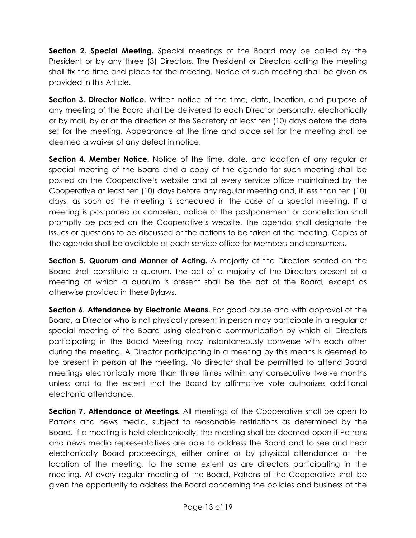**Section 2. Special Meeting.** Special meetings of the Board may be called by the President or by any three (3) Directors. The President or Directors calling the meeting shall fix the time and place for the meeting. Notice of such meeting shall be given as provided in this Article.

**Section 3. Director Notice.** Written notice of the time, date, location, and purpose of any meeting of the Board shall be delivered to each Director personally, electronically or by mail, by or at the direction of the Secretary at least ten (10) days before the date set for the meeting. Appearance at the time and place set for the meeting shall be deemed a waiver of any defect in notice.

**Section 4. Member Notice.** Notice of the time, date, and location of any regular or special meeting of the Board and a copy of the agenda for such meeting shall be posted on the Cooperative's website and at every service office maintained by the Cooperative at least ten (10) days before any regular meeting and, if less than ten (10) days, as soon as the meeting is scheduled in the case of a special meeting. If a meeting is postponed or canceled, notice of the postponement or cancellation shall promptly be posted on the Cooperative's website. The agenda shall designate the issues or questions to be discussed or the actions to be taken at the meeting. Copies of the agenda shall be available at each service office for Members and consumers.

**Section 5. Quorum and Manner of Acting.** A majority of the Directors seated on the Board shall constitute a quorum. The act of a majority of the Directors present at a meeting at which a quorum is present shall be the act of the Board, except as otherwise provided in these Bylaws.

**Section 6. Attendance by Electronic Means.** For good cause and with approval of the Board, a Director who is not physically present in person may participate in a regular or special meeting of the Board using electronic communication by which all Directors participating in the Board Meeting may instantaneously converse with each other during the meeting. A Director participating in a meeting by this means is deemed to be present in person at the meeting. No director shall be permitted to attend Board meetings electronically more than three times within any consecutive twelve months unless and to the extent that the Board by affirmative vote authorizes additional electronic attendance.

**Section 7. Attendance at Meetings.** All meetings of the Cooperative shall be open to Patrons and news media, subject to reasonable restrictions as determined by the Board. If a meeting is held electronically, the meeting shall be deemed open if Patrons and news media representatives are able to address the Board and to see and hear electronically Board proceedings, either online or by physical attendance at the location of the meeting, to the same extent as are directors participating in the meeting. At every regular meeting of the Board, Patrons of the Cooperative shall be given the opportunity to address the Board concerning the policies and business of the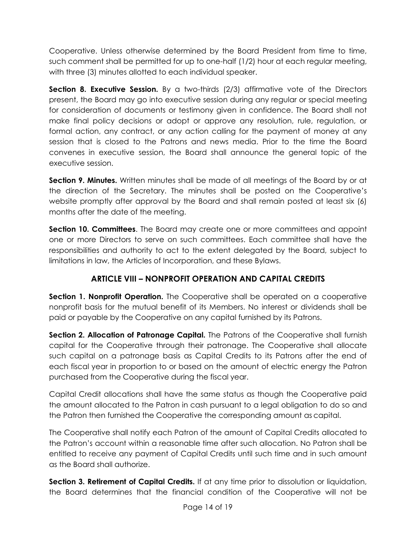Cooperative. Unless otherwise determined by the Board President from time to time, such comment shall be permitted for up to one-half (1/2) hour at each regular meeting, with three (3) minutes allotted to each individual speaker.

**Section 8. Executive Session.** By a two-thirds (2/3) affirmative vote of the Directors present, the Board may go into executive session during any regular or special meeting for consideration of documents or testimony given in confidence. The Board shall not make final policy decisions or adopt or approve any resolution, rule, regulation, or formal action, any contract, or any action calling for the payment of money at any session that is closed to the Patrons and news media. Prior to the time the Board convenes in executive session, the Board shall announce the general topic of the executive session.

**Section 9. Minutes.** Written minutes shall be made of all meetings of the Board by or at the direction of the Secretary. The minutes shall be posted on the Cooperative's website promptly after approval by the Board and shall remain posted at least six (6) months after the date of the meeting.

**Section 10. Committees**. The Board may create one or more committees and appoint one or more Directors to serve on such committees. Each committee shall have the responsibilities and authority to act to the extent delegated by the Board, subject to limitations in law, the Articles of Incorporation, and these Bylaws.

# **ARTICLE VIII – NONPROFIT OPERATION AND CAPITAL CREDITS**

**Section 1. Nonprofit Operation.** The Cooperative shall be operated on a cooperative nonprofit basis for the mutual benefit of its Members. No interest or dividends shall be paid or payable by the Cooperative on any capital furnished by its Patrons.

**Section 2. Allocation of Patronage Capital.** The Patrons of the Cooperative shall furnish capital for the Cooperative through their patronage. The Cooperative shall allocate such capital on a patronage basis as Capital Credits to its Patrons after the end of each fiscal year in proportion to or based on the amount of electric energy the Patron purchased from the Cooperative during the fiscal year.

Capital Credit allocations shall have the same status as though the Cooperative paid the amount allocated to the Patron in cash pursuant to a legal obligation to do so and the Patron then furnished the Cooperative the corresponding amount as capital.

The Cooperative shall notify each Patron of the amount of Capital Credits allocated to the Patron's account within a reasonable time after such allocation. No Patron shall be entitled to receive any payment of Capital Credits until such time and in such amount as the Board shall authorize.

**Section 3. Retirement of Capital Credits.** If at any time prior to dissolution or liquidation, the Board determines that the financial condition of the Cooperative will not be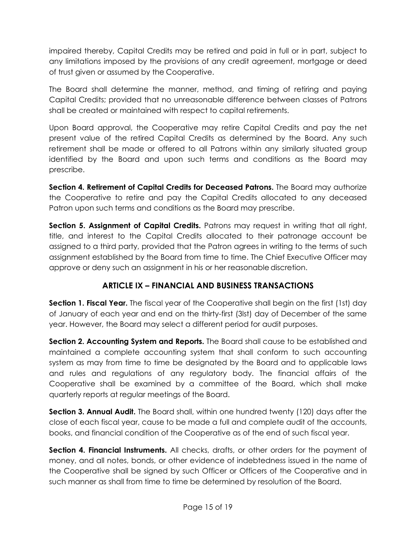impaired thereby, Capital Credits may be retired and paid in full or in part, subject to any limitations imposed by the provisions of any credit agreement, mortgage or deed of trust given or assumed by the Cooperative.

The Board shall determine the manner, method, and timing of retiring and paying Capital Credits; provided that no unreasonable difference between classes of Patrons shall be created or maintained with respect to capital retirements.

Upon Board approval, the Cooperative may retire Capital Credits and pay the net present value of the retired Capital Credits as determined by the Board. Any such retirement shall be made or offered to all Patrons within any similarly situated group identified by the Board and upon such terms and conditions as the Board may prescribe.

Section 4. Retirement of Capital Credits for Deceased Patrons. The Board may authorize the Cooperative to retire and pay the Capital Credits allocated to any deceased Patron upon such terms and conditions as the Board may prescribe.

**Section 5. Assignment of Capital Credits.** Patrons may request in writing that all right, title, and interest to the Capital Credits allocated to their patronage account be assigned to a third party, provided that the Patron agrees in writing to the terms of such assignment established by the Board from time to time. The Chief Executive Officer may approve or deny such an assignment in his or her reasonable discretion.

## **ARTICLE IX – FINANCIAL AND BUSINESS TRANSACTIONS**

<span id="page-17-0"></span>**Section 1. Fiscal Year.** The fiscal year of the Cooperative shall begin on the first (1st) day of January of each year and end on the thirty-first (3lst) day of December of the same year. However, the Board may select a different period for audit purposes.

**Section 2. Accounting System and Reports.** The Board shall cause to be established and maintained a complete accounting system that shall conform to such accounting system as may from time to time be designated by the Board and to applicable laws and rules and regulations of any regulatory body. The financial affairs of the Cooperative shall be examined by a committee of the Board, which shall make quarterly reports at regular meetings of the Board.

**Section 3. Annual Audit.** The Board shall, within one hundred twenty (120) days after the close of each fiscal year, cause to be made a full and complete audit of the accounts, books, and financial condition of the Cooperative as of the end of such fiscal year.

**Section 4. Financial Instruments.** All checks, drafts, or other orders for the payment of money, and all notes, bonds, or other evidence of indebtedness issued in the name of the Cooperative shall be signed by such Officer or Officers of the Cooperative and in such manner as shall from time to time be determined by resolution of the Board.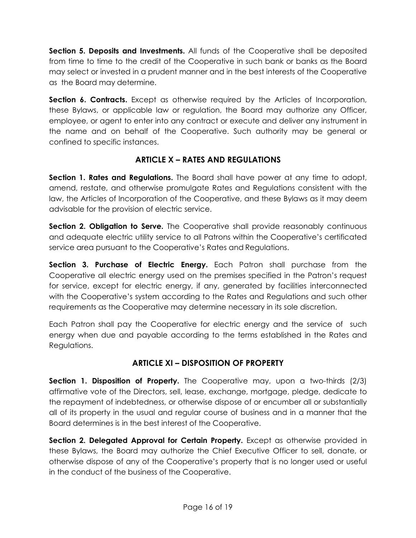**Section 5. Deposits and Investments.** All funds of the Cooperative shall be deposited from time to time to the credit of the Cooperative in such bank or banks as the Board may select or invested in a prudent manner and in the best interests of the Cooperative as the Board may determine.

**Section 6. Contracts.** Except as otherwise required by the Articles of Incorporation, these Bylaws, or applicable law or regulation, the Board may authorize any Officer, employee, or agent to enter into any contract or execute and deliver any instrument in the name and on behalf of the Cooperative. Such authority may be general or confined to specific instances.

## **ARTICLE X – RATES AND REGULATIONS**

<span id="page-18-0"></span>**Section 1. Rates and Regulations.** The Board shall have power at any time to adopt, amend, restate, and otherwise promulgate Rates and Regulations consistent with the law, the Articles of Incorporation of the Cooperative, and these Bylaws as it may deem advisable for the provision of electric service.

**Section 2. Obligation to Serve.** The Cooperative shall provide reasonably continuous and adequate electric utility service to all Patrons within the Cooperative's certificated service area pursuant to the Cooperative's Rates and Regulations.

**Section 3. Purchase of Electric Energy.** Each Patron shall purchase from the Cooperative all electric energy used on the premises specified in the Patron's request for service, except for electric energy, if any, generated by facilities interconnected with the Cooperative's system according to the Rates and Regulations and such other requirements as the Cooperative may determine necessary in its sole discretion.

Each Patron shall pay the Cooperative for electric energy and the service of such energy when due and payable according to the terms established in the Rates and Regulations.

## **ARTICLE XI – DISPOSITION OF PROPERTY**

<span id="page-18-1"></span>**Section 1. Disposition of Property.** The Cooperative may, upon a two-thirds (2/3) affirmative vote of the Directors, sell, lease, exchange, mortgage, pledge, dedicate to the repayment of indebtedness, or otherwise dispose of or encumber all or substantially all of its property in the usual and regular course of business and in a manner that the Board determines is in the best interest of the Cooperative.

Section 2. Delegated Approval for Certain Property. Except as otherwise provided in these Bylaws, the Board may authorize the Chief Executive Officer to sell, donate, or otherwise dispose of any of the Cooperative's property that is no longer used or useful in the conduct of the business of the Cooperative.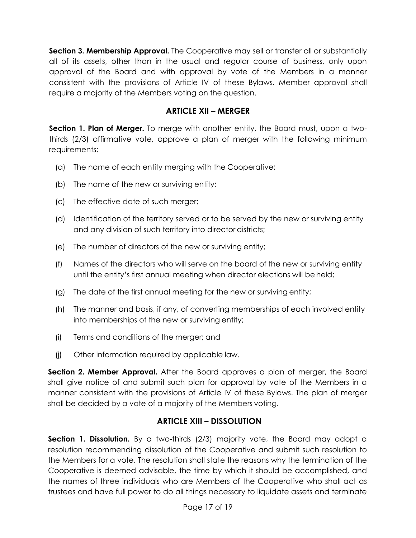**Section 3. Membership Approval.** The Cooperative may sell or transfer all or substantially all of its assets, other than in the usual and regular course of business, only upon approval of the Board and with approval by vote of the Members in a manner consistent with the provisions of Article IV of these Bylaws. Member approval shall require a majority of the Members voting on the question.

#### **ARTICLE XII – MERGER**

<span id="page-19-0"></span>**Section 1. Plan of Merger.** To merge with another entity, the Board must, upon a twothirds (2/3) affirmative vote, approve a plan of merger with the following minimum requirements:

- (a) The name of each entity merging with the Cooperative;
- (b) The name of the new or surviving entity;
- (c) The effective date of such merger;
- (d) Identification of the territory served or to be served by the new or surviving entity and any division of such territory into director districts;
- (e) The number of directors of the new or surviving entity;
- (f) Names of the directors who will serve on the board of the new or surviving entity until the entity's first annual meeting when director elections will be held;
- (g) The date of the first annual meeting for the new or surviving entity;
- (h) The manner and basis, if any, of converting memberships of each involved entity into memberships of the new or surviving entity;
- (i) Terms and conditions of the merger; and
- (j) Other information required by applicable law.

**Section 2. Member Approval.** After the Board approves a plan of merger, the Board shall give notice of and submit such plan for approval by vote of the Members in a manner consistent with the provisions of Article IV of these Bylaws. The plan of merger shall be decided by a vote of a majority of the Members voting.

## **ARTICLE XIII – DISSOLUTION**

**Section 1. Dissolution.** By a two-thirds (2/3) majority vote, the Board may adopt a resolution recommending dissolution of the Cooperative and submit such resolution to the Members for a vote. The resolution shall state the reasons why the termination of the Cooperative is deemed advisable, the time by which it should be accomplished, and the names of three individuals who are Members of the Cooperative who shall act as trustees and have full power to do all things necessary to liquidate assets and terminate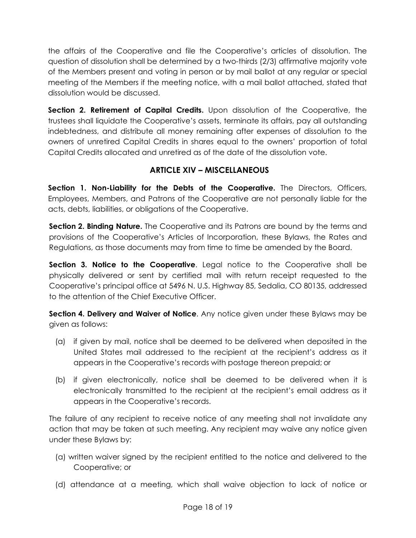the affairs of the Cooperative and file the Cooperative's articles of dissolution. The question of dissolution shall be determined by a two-thirds (2/3) affirmative majority vote of the Members present and voting in person or by mail ballot at any regular or special meeting of the Members if the meeting notice, with a mail ballot attached, stated that dissolution would be discussed.

**Section 2. Retirement of Capital Credits.** Upon dissolution of the Cooperative, the trustees shall liquidate the Cooperative's assets, terminate its affairs, pay all outstanding indebtedness, and distribute all money remaining after expenses of dissolution to the owners of unretired Capital Credits in shares equal to the owners' proportion of total Capital Credits allocated and unretired as of the date of the dissolution vote.

## **ARTICLE XIV – MISCELLANEOUS**

<span id="page-20-0"></span>**Section 1. Non-Liability for the Debts of the Cooperative.** The Directors, Officers, Employees, Members, and Patrons of the Cooperative are not personally liable for the acts, debts, liabilities, or obligations of the Cooperative.

**Section 2. Binding Nature.** The Cooperative and its Patrons are bound by the terms and provisions of the Cooperative's Articles of Incorporation, these Bylaws, the Rates and Regulations, as those documents may from time to time be amended by the Board.

**Section 3. Notice to the Cooperative.** Legal notice to the Cooperative shall be physically delivered or sent by certified mail with return receipt requested to the Cooperative's principal office at 5496 N. U.S. Highway 85, Sedalia, CO 80135, addressed to the attention of the Chief Executive Officer.

**Section 4. Delivery and Waiver of Notice**. Any notice given under these Bylaws may be given as follows:

- (a) if given by mail, notice shall be deemed to be delivered when deposited in the United States mail addressed to the recipient at the recipient's address as it appears in the Cooperative's records with postage thereon prepaid; or
- (b) if given electronically, notice shall be deemed to be delivered when it is electronically transmitted to the recipient at the recipient's email address as it appears in the Cooperative's records.

The failure of any recipient to receive notice of any meeting shall not invalidate any action that may be taken at such meeting. Any recipient may waive any notice given under these Bylaws by:

- (a) written waiver signed by the recipient entitled to the notice and delivered to the Cooperative; or
- (d) attendance at a meeting, which shall waive objection to lack of notice or